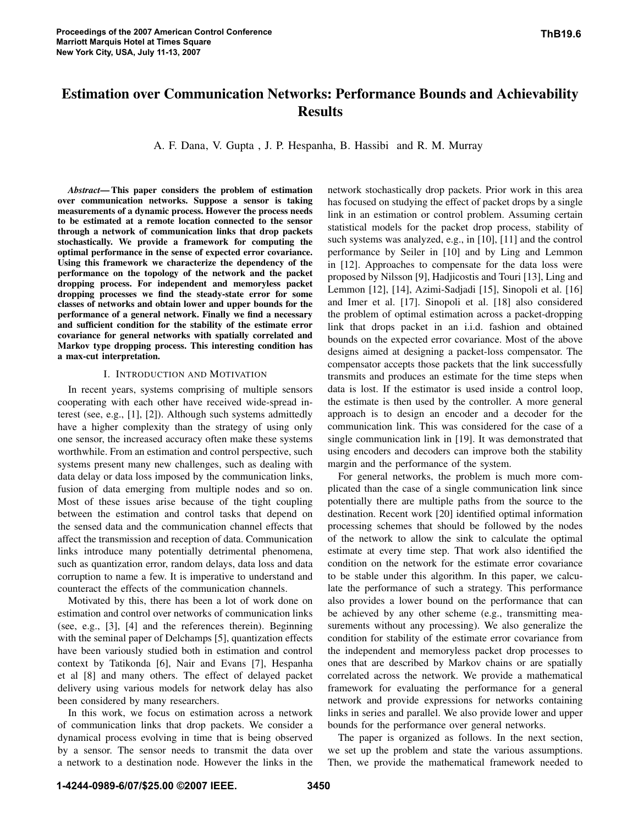# Estimation over Communication Networks: Performance Bounds and Achievability Results

A. F. Dana, V. Gupta , J. P. Hespanha, B. Hassibi and R. M. Murray

*Abstract*—This paper considers the problem of estimation over communication networks. Suppose a sensor is taking measurements of a dynamic process. However the process needs to be estimated at a remote location connected to the sensor through a network of communication links that drop packets stochastically. We provide a framework for computing the optimal performance in the sense of expected error covariance. Using this framework we characterize the dependency of the performance on the topology of the network and the packet dropping process. For independent and memoryless packet dropping processes we find the steady-state error for some classes of networks and obtain lower and upper bounds for the performance of a general network. Finally we find a necessary and sufficient condition for the stability of the estimate error covariance for general networks with spatially correlated and Markov type dropping process. This interesting condition has a max-cut interpretation.

#### I. INTRODUCTION AND MOTIVATION

In recent years, systems comprising of multiple sensors cooperating with each other have received wide-spread interest (see, e.g., [1], [2]). Although such systems admittedly have a higher complexity than the strategy of using only one sensor, the increased accuracy often make these systems worthwhile. From an estimation and control perspective, such systems present many new challenges, such as dealing with data delay or data loss imposed by the communication links, fusion of data emerging from multiple nodes and so on. Most of these issues arise because of the tight coupling between the estimation and control tasks that depend on the sensed data and the communication channel effects that affect the transmission and reception of data. Communication links introduce many potentially detrimental phenomena, such as quantization error, random delays, data loss and data corruption to name a few. It is imperative to understand and counteract the effects of the communication channels.

Motivated by this, there has been a lot of work done on estimation and control over networks of communication links (see, e.g., [3], [4] and the references therein). Beginning with the seminal paper of Delchamps [5], quantization effects have been variously studied both in estimation and control context by Tatikonda [6], Nair and Evans [7], Hespanha et al [8] and many others. The effect of delayed packet delivery using various models for network delay has also been considered by many researchers.

In this work, we focus on estimation across a network of communication links that drop packets. We consider a dynamical process evolving in time that is being observed by a sensor. The sensor needs to transmit the data over a network to a destination node. However the links in the network stochastically drop packets. Prior work in this area has focused on studying the effect of packet drops by a single link in an estimation or control problem. Assuming certain statistical models for the packet drop process, stability of such systems was analyzed, e.g., in [10], [11] and the control performance by Seiler in [10] and by Ling and Lemmon in [12]. Approaches to compensate for the data loss were proposed by Nilsson [9], Hadjicostis and Touri [13], Ling and Lemmon [12], [14], Azimi-Sadjadi [15], Sinopoli et al. [16] and Imer et al. [17]. Sinopoli et al. [18] also considered the problem of optimal estimation across a packet-dropping link that drops packet in an i.i.d. fashion and obtained bounds on the expected error covariance. Most of the above designs aimed at designing a packet-loss compensator. The compensator accepts those packets that the link successfully transmits and produces an estimate for the time steps when data is lost. If the estimator is used inside a control loop, the estimate is then used by the controller. A more general approach is to design an encoder and a decoder for the communication link. This was considered for the case of a single communication link in [19]. It was demonstrated that using encoders and decoders can improve both the stability margin and the performance of the system.

For general networks, the problem is much more complicated than the case of a single communication link since potentially there are multiple paths from the source to the destination. Recent work [20] identified optimal information processing schemes that should be followed by the nodes of the network to allow the sink to calculate the optimal estimate at every time step. That work also identified the condition on the network for the estimate error covariance to be stable under this algorithm. In this paper, we calculate the performance of such a strategy. This performance also provides a lower bound on the performance that can be achieved by any other scheme (e.g., transmitting measurements without any processing). We also generalize the condition for stability of the estimate error covariance from the independent and memoryless packet drop processes to ones that are described by Markov chains or are spatially correlated across the network. We provide a mathematical framework for evaluating the performance for a general network and provide expressions for networks containing links in series and parallel. We also provide lower and upper bounds for the performance over general networks.

The paper is organized as follows. In the next section, we set up the problem and state the various assumptions. Then, we provide the mathematical framework needed to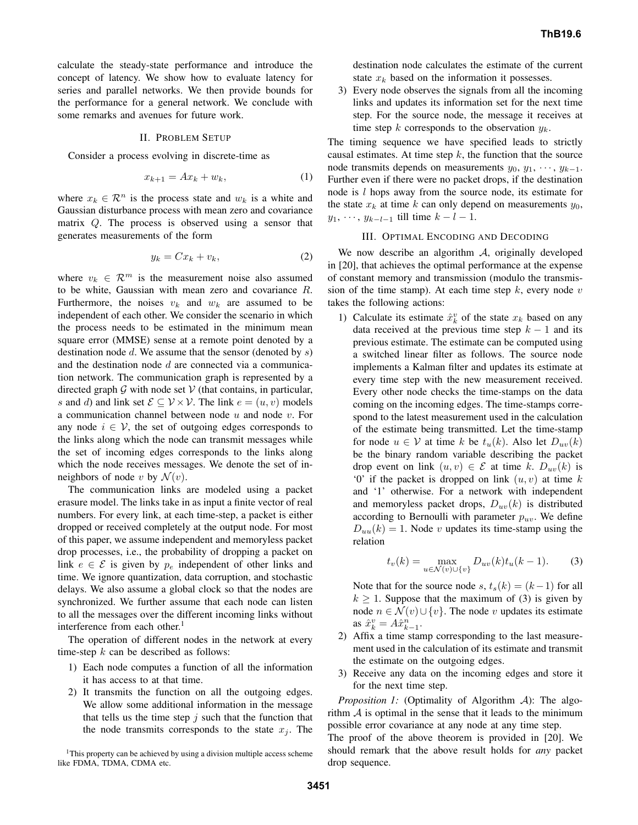calculate the steady-state performance and introduce the concept of latency. We show how to evaluate latency for series and parallel networks. We then provide bounds for the performance for a general network. We conclude with some remarks and avenues for future work.

## II. PROBLEM SETUP

Consider a process evolving in discrete-time as

$$
x_{k+1} = Ax_k + w_k, \tag{1}
$$

where  $x_k \in \mathcal{R}^n$  is the process state and  $w_k$  is a white and Gaussian disturbance process with mean zero and covariance matrix Q. The process is observed using a sensor that generates measurements of the form

$$
y_k = Cx_k + v_k,\tag{2}
$$

where  $v_k \in \mathcal{R}^m$  is the measurement noise also assumed to be white, Gaussian with mean zero and covariance R. Furthermore, the noises  $v_k$  and  $w_k$  are assumed to be independent of each other. We consider the scenario in which the process needs to be estimated in the minimum mean square error (MMSE) sense at a remote point denoted by a destination node  $d$ . We assume that the sensor (denoted by  $s$ ) and the destination node  $d$  are connected via a communication network. The communication graph is represented by a directed graph  $G$  with node set  $V$  (that contains, in particular, s and d) and link set  $\mathcal{E} \subseteq \mathcal{V} \times \mathcal{V}$ . The link  $e = (u, v)$  models a communication channel between node  $u$  and node  $v$ . For any node  $i \in V$ , the set of outgoing edges corresponds to the links along which the node can transmit messages while the set of incoming edges corresponds to the links along which the node receives messages. We denote the set of inneighbors of node v by  $\mathcal{N}(v)$ .

The communication links are modeled using a packet erasure model. The links take in as input a finite vector of real numbers. For every link, at each time-step, a packet is either dropped or received completely at the output node. For most of this paper, we assume independent and memoryless packet drop processes, i.e., the probability of dropping a packet on link  $e \in \mathcal{E}$  is given by  $p_e$  independent of other links and time. We ignore quantization, data corruption, and stochastic delays. We also assume a global clock so that the nodes are synchronized. We further assume that each node can listen to all the messages over the different incoming links without interference from each other. 1

The operation of different nodes in the network at every time-step  $k$  can be described as follows:

- 1) Each node computes a function of all the information it has access to at that time.
- 2) It transmits the function on all the outgoing edges. We allow some additional information in the message that tells us the time step  $j$  such that the function that the node transmits corresponds to the state  $x_i$ . The

<sup>1</sup>This property can be achieved by using a division multiple access scheme like FDMA, TDMA, CDMA etc.

destination node calculates the estimate of the current state  $x_k$  based on the information it possesses.

3) Every node observes the signals from all the incoming links and updates its information set for the next time step. For the source node, the message it receives at time step k corresponds to the observation  $y_k$ .

The timing sequence we have specified leads to strictly causal estimates. At time step  $k$ , the function that the source node transmits depends on measurements  $y_0, y_1, \dots, y_{k-1}$ . Further even if there were no packet drops, if the destination node is l hops away from the source node, its estimate for the state  $x_k$  at time k can only depend on measurements  $y_0$ ,  $y_1, \dots, y_{k-l-1}$  till time  $k - l - 1$ .

#### III. OPTIMAL ENCODING AND DECODING

We now describe an algorithm A, originally developed in [20], that achieves the optimal performance at the expense of constant memory and transmission (modulo the transmission of the time stamp). At each time step  $k$ , every node  $v$ takes the following actions:

1) Calculate its estimate  $\hat{x}_k^v$  of the state  $x_k$  based on any data received at the previous time step  $k - 1$  and its previous estimate. The estimate can be computed using a switched linear filter as follows. The source node implements a Kalman filter and updates its estimate at every time step with the new measurement received. Every other node checks the time-stamps on the data coming on the incoming edges. The time-stamps correspond to the latest measurement used in the calculation of the estimate being transmitted. Let the time-stamp for node  $u \in V$  at time k be  $t_u(k)$ . Also let  $D_{uu}(k)$ be the binary random variable describing the packet drop event on link  $(u, v) \in \mathcal{E}$  at time k.  $D_{uv}(k)$  is '0' if the packet is dropped on link  $(u, v)$  at time k and '1' otherwise. For a network with independent and memoryless packet drops,  $D_{uv}(k)$  is distributed according to Bernoulli with parameter  $p_{uv}$ . We define  $D_{uu}(k) = 1$ . Node v updates its time-stamp using the relation

$$
t_v(k) = \max_{u \in \mathcal{N}(v) \cup \{v\}} D_{uv}(k) t_u(k-1).
$$
 (3)

Note that for the source node s,  $t_s(k) = (k-1)$  for all  $k \geq 1$ . Suppose that the maximum of (3) is given by node  $n \in \mathcal{N}(v) \cup \{v\}$ . The node v updates its estimate as  $\hat{x}_{k}^{v} = A\hat{x}_{k-1}^{n}$ .

- 2) Affix a time stamp corresponding to the last measurement used in the calculation of its estimate and transmit the estimate on the outgoing edges.
- 3) Receive any data on the incoming edges and store it for the next time step.

*Proposition 1:* (Optimality of Algorithm A): The algorithm  $A$  is optimal in the sense that it leads to the minimum possible error covariance at any node at any time step.

The proof of the above theorem is provided in [20]. We should remark that the above result holds for *any* packet drop sequence.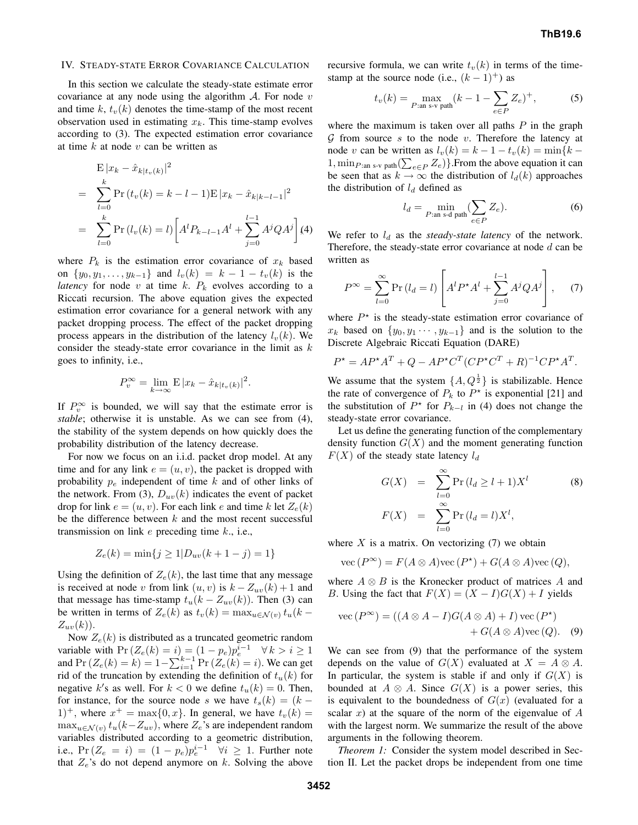#### IV. STEADY-STATE ERROR COVARIANCE CALCULATION

In this section we calculate the steady-state estimate error covariance at any node using the algorithm  $A$ . For node  $v$ and time k,  $t_v(k)$  denotes the time-stamp of the most recent observation used in estimating  $x_k$ . This time-stamp evolves according to (3). The expected estimation error covariance at time  $k$  at node  $v$  can be written as

$$
\begin{aligned} \mathbf{E} |x_k - \hat{x}_{k|t_v(k)}|^2 \\ &= \sum_{l=0}^k \Pr\left(t_v(k) = k - l - 1\right) \mathbf{E} |x_k - \hat{x}_{k|k-l-1}|^2 \\ &= \sum_{l=0}^k \Pr\left(l_v(k) = l\right) \left[A^l P_{k-l-1} A^l + \sum_{j=0}^{l-1} A^j Q A^j\right] \end{aligned}
$$

where  $P_k$  is the estimation error covariance of  $x_k$  based on  $\{y_0, y_1, \ldots, y_{k-1}\}\$  and  $l_v(k) = k - 1 - t_v(k)$  is the *latency* for node  $v$  at time  $k$ .  $P_k$  evolves according to a Riccati recursion. The above equation gives the expected estimation error covariance for a general network with any packet dropping process. The effect of the packet dropping process appears in the distribution of the latency  $l_v(k)$ . We consider the steady-state error covariance in the limit as  $k$ goes to infinity, i.e.,

$$
P_v^{\infty} = \lim_{k \to \infty} \mathbf{E} |x_k - \hat{x}_{k|t_v(k)}|^2.
$$

If  $P_v^{\infty}$  is bounded, we will say that the estimate error is *stable*; otherwise it is unstable. As we can see from (4), the stability of the system depends on how quickly does the probability distribution of the latency decrease.

For now we focus on an i.i.d. packet drop model. At any time and for any link  $e = (u, v)$ , the packet is dropped with probability  $p_e$  independent of time k and of other links of the network. From (3),  $D_{uv}(k)$  indicates the event of packet drop for link  $e = (u, v)$ . For each link e and time k let  $Z_e(k)$ be the difference between  $k$  and the most recent successful transmission on link  $e$  preceding time  $k$ ., i.e.,

$$
Z_e(k) = \min\{j \ge 1 | D_{uv}(k+1-j) = 1\}
$$

Using the definition of  $Z_e(k)$ , the last time that any message is received at node v from link  $(u, v)$  is  $k - Z_{uv}(k) + 1$  and that message has time-stamp  $t_u(k - Z_{uv}(k))$ . Then (3) can be written in terms of  $Z_e(k)$  as  $t_v(k) = \max_{u \in \mathcal{N}(v)} t_u(k Z_{uv}(k)$ .

Now  $Z_e(k)$  is distributed as a truncated geometric random variable with  $Pr(Z_e(k) = i) = (1 - p_e)p_e^{i-1}$   $\forall k > i \ge 1$ and  $Pr(Z_e(k) = k) = 1 - \sum_{i=1}^{k-1} Pr(Z_e(k) = i)$ . We can get rid of the truncation by extending the definition of  $t<sub>u</sub>(k)$  for negative k's as well. For  $k < 0$  we define  $t_u(k) = 0$ . Then, for instance, for the source node s we have  $t_s(k) = (k -$ 1)<sup>+</sup>, where  $x^+$  = max{0, x}. In general, we have  $t_v(k)$  =  $\max_{u \in \mathcal{N}(v)} t_u(k-Z_{uv}),$  where  $Z_e$ 's are independent random variables distributed according to a geometric distribution, i.e.,  $Pr(Z_e = i) = (1 - p_e)p_e^{i-1}$   $\forall i \ge 1$ . Further note that  $Z_e$ 's do not depend anymore on k. Solving the above recursive formula, we can write  $t_v(k)$  in terms of the timestamp at the source node (i.e.,  $(k-1)^+$ ) as

$$
t_v(k) = \max_{P:\text{an s-v path}} (k - 1 - \sum_{e \in P} Z_e)^+, \tag{5}
$$

where the maximum is taken over all paths  $P$  in the graph  $G$  from source s to the node v. Therefore the latency at node v can be written as  $l_v(k) = k - 1 - t_v(k) = \min\{k -$ 1,  $\min_{P : \text{an } s-v} \text{path}(\sum_{e \in P} Z_e)$ . From the above equation it can be seen that as  $k \to \infty$  the distribution of  $l_d(k)$  approaches the distribution of  $l_d$  defined as

$$
l_d = \min_{P:\text{an s-d path}} (\sum_{e \in P} Z_e). \tag{6}
$$

We refer to  $l_d$  as the *steady-state latency* of the network. Therefore, the steady-state error covariance at node  $d$  can be written as

$$
P^{\infty} = \sum_{l=0}^{\infty} \Pr(l_d = l) \left[ A^l P^{\star} A^l + \sum_{j=0}^{l-1} A^j Q A^j \right], \quad (7)
$$

where  $P^*$  is the steady-state estimation error covariance of  $x_k$  based on  $\{y_0, y_1 \cdots, y_{k-1}\}\$  and is the solution to the Discrete Algebraic Riccati Equation (DARE)

$$
P^* = AP^*A^T + Q - AP^*C^T(CP^*C^T + R)^{-1}CP^*A^T.
$$

We assume that the system  $\{A, Q^{\frac{1}{2}}\}$  is stabilizable. Hence the rate of convergence of  $P_k$  to  $P^*$  is exponential [21] and the substitution of  $P^*$  for  $P_{k-l}$  in (4) does not change the steady-state error covariance.

Let us define the generating function of the complementary density function  $G(X)$  and the moment generating function  $F(X)$  of the steady state latency  $l_d$ 

$$
G(X) = \sum_{l=0}^{\infty} \Pr(l_d \ge l+1) X^l
$$
 (8)  

$$
F(X) = \sum_{l=0}^{\infty} \Pr(l_d = l) X^l,
$$

where  $X$  is a matrix. On vectorizing  $(7)$  we obtain

 $\operatorname{vec}(P^{\infty}) = F(A \otimes A)\operatorname{vec}(P^{\star}) + G(A \otimes A)\operatorname{vec}(Q),$ 

where  $A \otimes B$  is the Kronecker product of matrices A and B. Using the fact that  $F(X) = (X - I)G(X) + I$  yields

vec 
$$
(P^{\infty}) = ((A \otimes A - I)G(A \otimes A) + I)
$$
vec  $(P^*)$   
+  $G(A \otimes A)$ vec  $(Q)$ . (9)

We can see from (9) that the performance of the system depends on the value of  $G(X)$  evaluated at  $X = A \otimes A$ . In particular, the system is stable if and only if  $G(X)$  is bounded at  $A \otimes A$ . Since  $G(X)$  is a power series, this is equivalent to the boundedness of  $G(x)$  (evaluated for a scalar  $x$ ) at the square of the norm of the eigenvalue of  $A$ with the largest norm. We summarize the result of the above arguments in the following theorem.

*Theorem 1:* Consider the system model described in Section II. Let the packet drops be independent from one time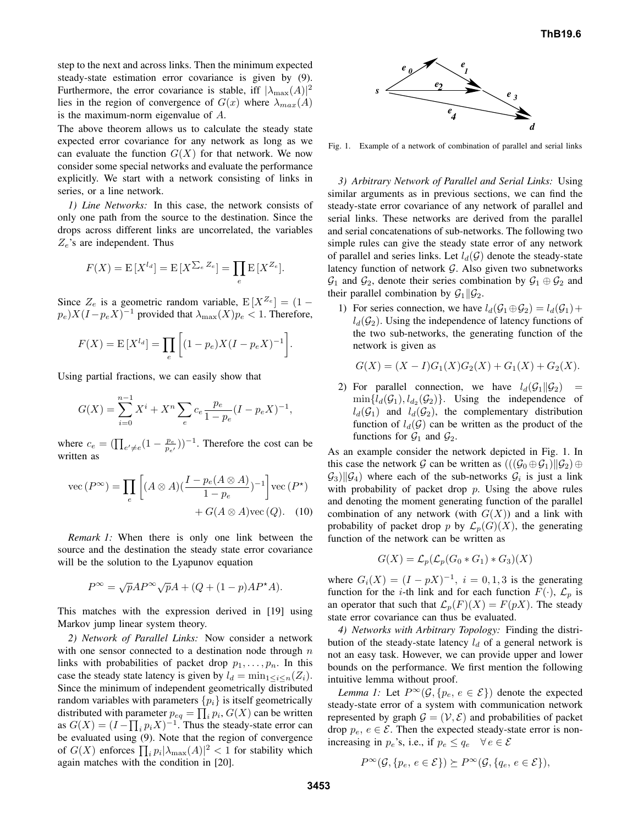step to the next and across links. Then the minimum expected steady-state estimation error covariance is given by (9). Furthermore, the error covariance is stable, iff  $|\lambda_{\text{max}}(A)|^2$ lies in the region of convergence of  $G(x)$  where  $\lambda_{max}(A)$ is the maximum-norm eigenvalue of A.

The above theorem allows us to calculate the steady state expected error covariance for any network as long as we can evaluate the function  $G(X)$  for that network. We now consider some special networks and evaluate the performance explicitly. We start with a network consisting of links in series, or a line network.

*1) Line Networks:* In this case, the network consists of only one path from the source to the destination. Since the drops across different links are uncorrelated, the variables  $Z_e$ 's are independent. Thus

$$
F(X) = \mathbb{E}[X^{l_d}] = \mathbb{E}[X^{\sum_e Z_e}] = \prod_e \mathbb{E}[X^{Z_e}].
$$

Since  $Z_e$  is a geometric random variable,  $E[X^{Z_e}] = (1 (p_e)X(I-p_eX)^{-1}$  provided that  $\lambda_{\text{max}}(X)p_e < 1$ . Therefore,

$$
F(X) = \mathbb{E}[X^{l_d}] = \prod_e \left[ (1 - p_e)X(I - p_e X)^{-1} \right].
$$

Using partial fractions, we can easily show that

$$
G(X) = \sum_{i=0}^{n-1} X^i + X^n \sum_{e} c_e \frac{p_e}{1 - p_e} (I - p_e X)^{-1}
$$

where  $c_e = (\prod_{e' \neq e} (1 - \frac{p_e}{p_{e'}}))^{-1}$ . Therefore the cost can be written as

vec 
$$
(P^{\infty}) = \prod_{e} \left[ (A \otimes A) (\frac{I - p_e(A \otimes A)}{1 - p_e})^{-1} \right] \text{vec}(P^*)
$$
  
  $+ G(A \otimes A) \text{vec}(Q).$  (10)

*Remark 1:* When there is only one link between the source and the destination the steady state error covariance will be the solution to the Lyapunov equation

$$
P^{\infty} = \sqrt{p}AP^{\infty}\sqrt{p}A + (Q + (1 - p)AP^{\star}A).
$$

This matches with the expression derived in [19] using Markov jump linear system theory.

*2) Network of Parallel Links:* Now consider a network with one sensor connected to a destination node through  $n$ links with probabilities of packet drop  $p_1, \ldots, p_n$ . In this case the steady state latency is given by  $l_d = \min_{1 \le i \le n} (Z_i)$ . Since the minimum of independent geometrically distributed random variables with parameters  $\{p_i\}$  is itself geometrically distributed with parameter  $p_{eq} = \prod_i p_i$ ,  $G(X)$  can be written as  $G(X) = (I - \prod_i p_i X)^{-1}$ . Thus the steady-state error can be evaluated using (9). Note that the region of convergence of  $G(X)$  enforces  $\prod_i p_i |\lambda_{\max}(A)|^2 < 1$  for stability which again matches with the condition in [20].



Fig. 1. Example of a network of combination of parallel and serial links

*3) Arbitrary Network of Parallel and Serial Links:* Using similar arguments as in previous sections, we can find the steady-state error covariance of any network of parallel and serial links. These networks are derived from the parallel and serial concatenations of sub-networks. The following two simple rules can give the steady state error of any network of parallel and series links. Let  $l_d(G)$  denote the steady-state latency function of network  $G$ . Also given two subnetworks  $\mathcal{G}_1$  and  $\mathcal{G}_2$ , denote their series combination by  $\mathcal{G}_1 \oplus \mathcal{G}_2$  and their parallel combination by  $\mathcal{G}_1||\mathcal{G}_2$ .

1) For series connection, we have  $l_d(G_1 \oplus G_2) = l_d(G_1) +$  $l_d(\mathcal{G}_2)$ . Using the independence of latency functions of the two sub-networks, the generating function of the network is given as

$$
G(X) = (X - I)G1(X)G2(X) + G1(X) + G2(X).
$$

2) For parallel connection, we have  $l_d(\mathcal{G}_1||\mathcal{G}_2)$  =  $\min\{l_d(\mathcal{G}_1), l_{d_2}(\mathcal{G}_2)\}\.$  Using the independence of  $l_d(G_1)$  and  $l_d(G_2)$ , the complementary distribution function of  $l_d(G)$  can be written as the product of the functions for  $\mathcal{G}_1$  and  $\mathcal{G}_2$ .

As an example consider the network depicted in Fig. 1. In this case the network G can be written as  $(((\mathcal{G}_0 \oplus \mathcal{G}_1) \| \mathcal{G}_2) \oplus$  $\mathcal{G}_3$ || $\mathcal{G}_4$ ) where each of the sub-networks  $\mathcal{G}_i$  is just a link with probability of packet drop  $p$ . Using the above rules and denoting the moment generating function of the parallel combination of any network (with  $G(X)$ ) and a link with probability of packet drop p by  $\mathcal{L}_p(G)(X)$ , the generating function of the network can be written as

$$
G(X) = \mathcal{L}_p(\mathcal{L}_p(G_0 * G_1) * G_3)(X)
$$

where  $G_i(X) = (I - pX)^{-1}$ ,  $i = 0, 1, 3$  is the generating function for the *i*-th link and for each function  $F(\cdot)$ ,  $\mathcal{L}_p$  is an operator that such that  $\mathcal{L}_p(F)(X) = F(pX)$ . The steady state error covariance can thus be evaluated.

*4) Networks with Arbitrary Topology:* Finding the distribution of the steady-state latency  $l_d$  of a general network is not an easy task. However, we can provide upper and lower bounds on the performance. We first mention the following intuitive lemma without proof.

*Lemma 1:* Let  $P^{\infty}(\mathcal{G}, \{p_e, e \in \mathcal{E}\})$  denote the expected steady-state error of a system with communication network represented by graph  $\mathcal{G} = (\mathcal{V}, \mathcal{E})$  and probabilities of packet drop  $p_e, e \in \mathcal{E}$ . Then the expected steady-state error is nonincreasing in  $p_e$ 's, i.e., if  $p_e \leq q_e \quad \forall e \in \mathcal{E}$ 

$$
P^{\infty}(\mathcal{G}, \{p_e, e \in \mathcal{E}\}) \succeq P^{\infty}(\mathcal{G}, \{q_e, e \in \mathcal{E}\}),
$$

,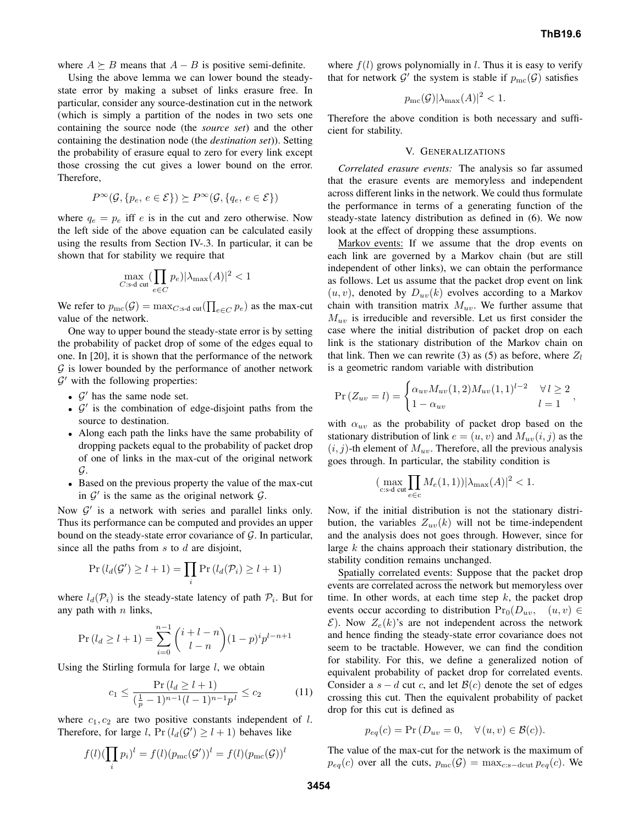where  $A \succeq B$  means that  $A - B$  is positive semi-definite.

Using the above lemma we can lower bound the steadystate error by making a subset of links erasure free. In particular, consider any source-destination cut in the network (which is simply a partition of the nodes in two sets one containing the source node (the *source set*) and the other containing the destination node (the *destination set*)). Setting the probability of erasure equal to zero for every link except those crossing the cut gives a lower bound on the error. Therefore,

$$
P^{\infty}(\mathcal{G}, \{p_e, e \in \mathcal{E}\}) \succeq P^{\infty}(\mathcal{G}, \{q_e, e \in \mathcal{E}\})
$$

where  $q_e = p_e$  iff e is in the cut and zero otherwise. Now the left side of the above equation can be calculated easily using the results from Section IV-.3. In particular, it can be shown that for stability we require that

$$
\max_{C:\text{s-d cut}}(\prod_{e\in C} p_e)|\lambda_{\max}(A)|^2<1
$$

We refer to  $p_{\text{mc}}(\mathcal{G}) = \max_{C:\text{s-d cut}}(\prod_{e \in C} p_e)$  as the max-cut value of the network.

One way to upper bound the steady-state error is by setting the probability of packet drop of some of the edges equal to one. In [20], it is shown that the performance of the network  $G$  is lower bounded by the performance of another network  $\mathcal{G}'$  with the following properties:

- $\mathcal{G}'$  has the same node set.
- $\mathcal{G}'$  is the combination of edge-disjoint paths from the source to destination.
- Along each path the links have the same probability of dropping packets equal to the probability of packet drop of one of links in the max-cut of the original network  $\mathcal{G}$ .
- Based on the previous property the value of the max-cut in  $\mathcal{G}'$  is the same as the original network  $\mathcal{G}$ .

Now  $\mathcal{G}'$  is a network with series and parallel links only. Thus its performance can be computed and provides an upper bound on the steady-state error covariance of  $G$ . In particular, since all the paths from  $s$  to  $d$  are disjoint,

$$
\Pr(l_d(\mathcal{G}') \ge l+1) = \prod_i \Pr(l_d(\mathcal{P}_i) \ge l+1)
$$

where  $l_d(\mathcal{P}_i)$  is the steady-state latency of path  $\mathcal{P}_i$ . But for any path with  $n$  links,

$$
\Pr(l_d \ge l+1) = \sum_{i=0}^{n-1} {i+l-n \choose l-n} (1-p)^i p^{l-n+1}
$$

Using the Stirling formula for large  $l$ , we obtain

$$
c_1 \le \frac{\Pr\left(l_d \ge l+1\right)}{\left(\frac{1}{p} - 1\right)^{n-1} (l-1)^{n-1} p^l} \le c_2 \tag{11}
$$

where  $c_1, c_2$  are two positive constants independent of l. Therefore, for large l,  $Pr(l_d(G') \ge l+1)$  behaves like

$$
f(l)(\prod_i p_i)^l = f(l)(p_{\rm mc}(\mathcal{G}'))^l = f(l)(p_{\rm mc}(\mathcal{G}))^l
$$

where  $f(l)$  grows polynomially in l. Thus it is easy to verify that for network  $\mathcal{G}'$  the system is stable if  $p_{\text{mc}}(\mathcal{G})$  satisfies

$$
p_{\text{mc}}(\mathcal{G})|\lambda_{\text{max}}(A)|^2 < 1.
$$

Therefore the above condition is both necessary and sufficient for stability.

#### V. GENERALIZATIONS

*Correlated erasure events:* The analysis so far assumed that the erasure events are memoryless and independent across different links in the network. We could thus formulate the performance in terms of a generating function of the steady-state latency distribution as defined in (6). We now look at the effect of dropping these assumptions.

Markov events: If we assume that the drop events on each link are governed by a Markov chain (but are still independent of other links), we can obtain the performance as follows. Let us assume that the packet drop event on link  $(u, v)$ , denoted by  $D_{uv}(k)$  evolves according to a Markov chain with transition matrix  $M_{uv}$ . We further assume that  $M_{uv}$  is irreducible and reversible. Let us first consider the case where the initial distribution of packet drop on each link is the stationary distribution of the Markov chain on that link. Then we can rewrite (3) as (5) as before, where  $Z_l$ is a geometric random variable with distribution

$$
Pr(Z_{uv} = l) = \begin{cases} \alpha_{uv} M_{uv}(1,2) M_{uv}(1,1)^{l-2} & \forall l \ge 2 \\ 1 - \alpha_{uv} & l = 1 \end{cases},
$$

with  $\alpha_{uv}$  as the probability of packet drop based on the stationary distribution of link  $e = (u, v)$  and  $M_{uv}(i, j)$  as the  $(i, j)$ -th element of  $M_{uv}$ . Therefore, all the previous analysis goes through. In particular, the stability condition is

$$
(\max_{\text{c:s-d cut}} \prod_{e \in \text{c}} M_e(1,1)) |\lambda_{\text{max}}(A)|^2 < 1.
$$

Now, if the initial distribution is not the stationary distribution, the variables  $Z_{uv}(k)$  will not be time-independent and the analysis does not goes through. However, since for large  $k$  the chains approach their stationary distribution, the stability condition remains unchanged.

Spatially correlated events: Suppose that the packet drop events are correlated across the network but memoryless over time. In other words, at each time step  $k$ , the packet drop events occur according to distribution  $Pr_0(D_{uv}, (u, v) \in$  $\mathcal{E}$ ). Now  $Z_e(k)$ 's are not independent across the network and hence finding the steady-state error covariance does not seem to be tractable. However, we can find the condition for stability. For this, we define a generalized notion of equivalent probability of packet drop for correlated events. Consider a  $s - d$  cut c, and let  $\mathcal{B}(c)$  denote the set of edges crossing this cut. Then the equivalent probability of packet drop for this cut is defined as

$$
p_{eq}(c) = \Pr(D_{uv} = 0, \quad \forall (u, v) \in \mathcal{B}(c)).
$$

The value of the max-cut for the network is the maximum of  $p_{eq}(c)$  over all the cuts,  $p_{\text{mc}}(\mathcal{G}) = \max_{c:s-\text{dcut}} p_{eq}(c)$ . We